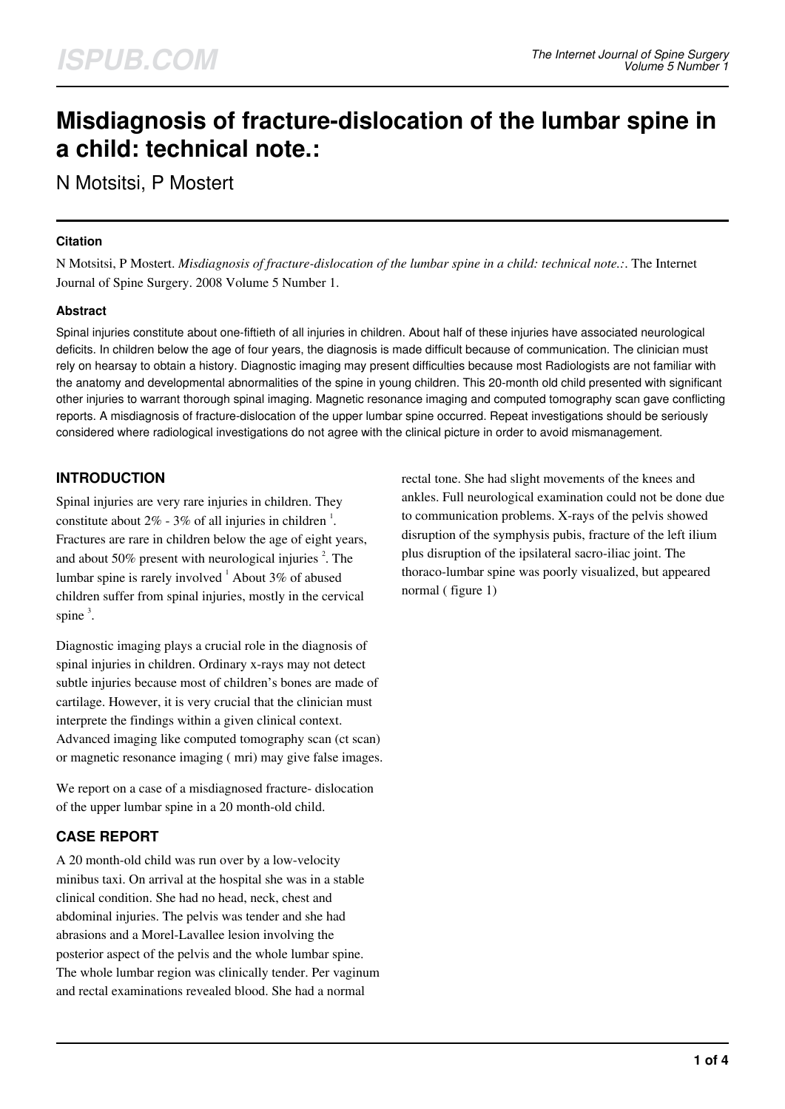# **Misdiagnosis of fracture-dislocation of the lumbar spine in a child: technical note.:**

N Motsitsi, P Mostert

#### **Citation**

N Motsitsi, P Mostert. *Misdiagnosis of fracture-dislocation of the lumbar spine in a child: technical note.:*. The Internet Journal of Spine Surgery. 2008 Volume 5 Number 1.

## **Abstract**

Spinal injuries constitute about one-fiftieth of all injuries in children. About half of these injuries have associated neurological deficits. In children below the age of four years, the diagnosis is made difficult because of communication. The clinician must rely on hearsay to obtain a history. Diagnostic imaging may present difficulties because most Radiologists are not familiar with the anatomy and developmental abnormalities of the spine in young children. This 20-month old child presented with significant other injuries to warrant thorough spinal imaging. Magnetic resonance imaging and computed tomography scan gave conflicting reports. A misdiagnosis of fracture-dislocation of the upper lumbar spine occurred. Repeat investigations should be seriously considered where radiological investigations do not agree with the clinical picture in order to avoid mismanagement.

# **INTRODUCTION**

Spinal injuries are very rare injuries in children. They constitute about  $2\%$  - 3% of all injuries in children<sup>1</sup>. Fractures are rare in children below the age of eight years, and about 50% present with neurological injuries  $2$ . The lumbar spine is rarely involved  $^1$  About 3% of abused children suffer from spinal injuries, mostly in the cervical spine $^3$ .

Diagnostic imaging plays a crucial role in the diagnosis of spinal injuries in children. Ordinary x-rays may not detect subtle injuries because most of children's bones are made of cartilage. However, it is very crucial that the clinician must interprete the findings within a given clinical context. Advanced imaging like computed tomography scan (ct scan) or magnetic resonance imaging ( mri) may give false images.

We report on a case of a misdiagnosed fracture- dislocation of the upper lumbar spine in a 20 month-old child.

# **CASE REPORT**

A 20 month-old child was run over by a low-velocity minibus taxi. On arrival at the hospital she was in a stable clinical condition. She had no head, neck, chest and abdominal injuries. The pelvis was tender and she had abrasions and a Morel-Lavallee lesion involving the posterior aspect of the pelvis and the whole lumbar spine. The whole lumbar region was clinically tender. Per vaginum and rectal examinations revealed blood. She had a normal

rectal tone. She had slight movements of the knees and ankles. Full neurological examination could not be done due to communication problems. X-rays of the pelvis showed disruption of the symphysis pubis, fracture of the left ilium plus disruption of the ipsilateral sacro-iliac joint. The thoraco-lumbar spine was poorly visualized, but appeared normal ( figure 1)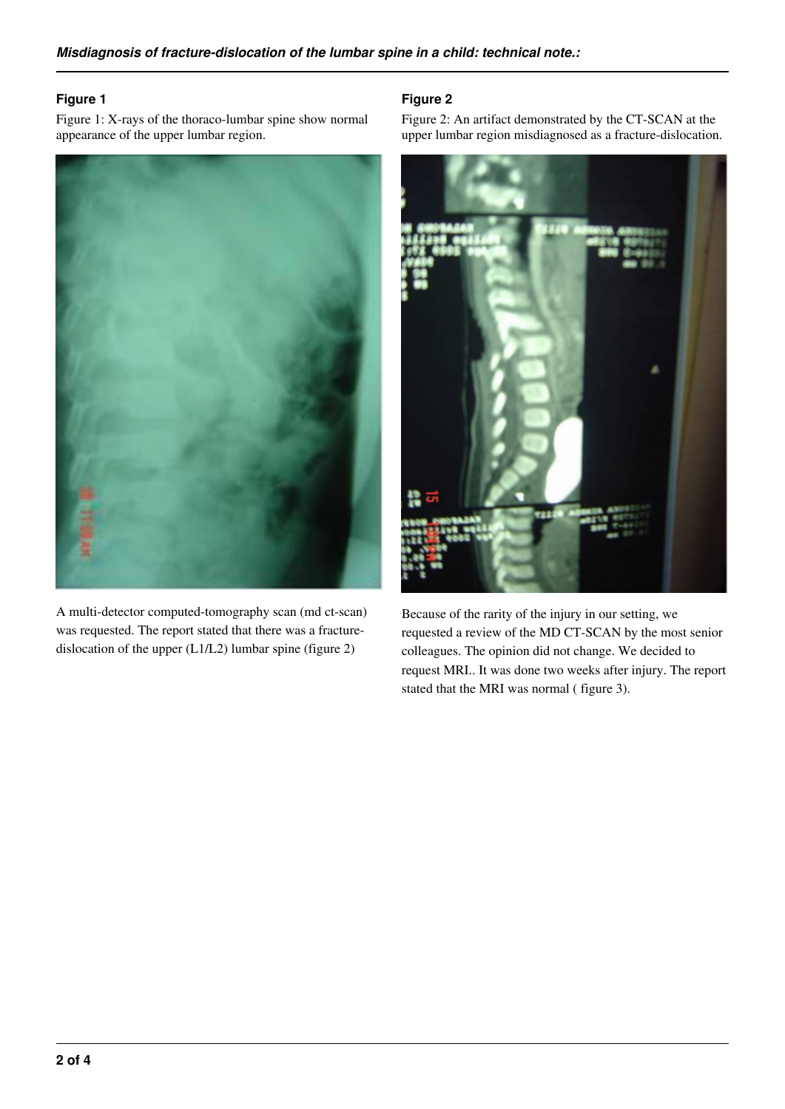#### **Figure 1**

Figure 1: X-rays of the thoraco-lumbar spine show normal appearance of the upper lumbar region.



A multi-detector computed-tomography scan (md ct-scan) was requested. The report stated that there was a fracturedislocation of the upper (L1/L2) lumbar spine (figure 2)

## **Figure 2**

Figure 2: An artifact demonstrated by the CT-SCAN at the upper lumbar region misdiagnosed as a fracture-dislocation.



Because of the rarity of the injury in our setting, we requested a review of the MD CT-SCAN by the most senior colleagues. The opinion did not change. We decided to request MRI.. It was done two weeks after injury. The report stated that the MRI was normal ( figure 3).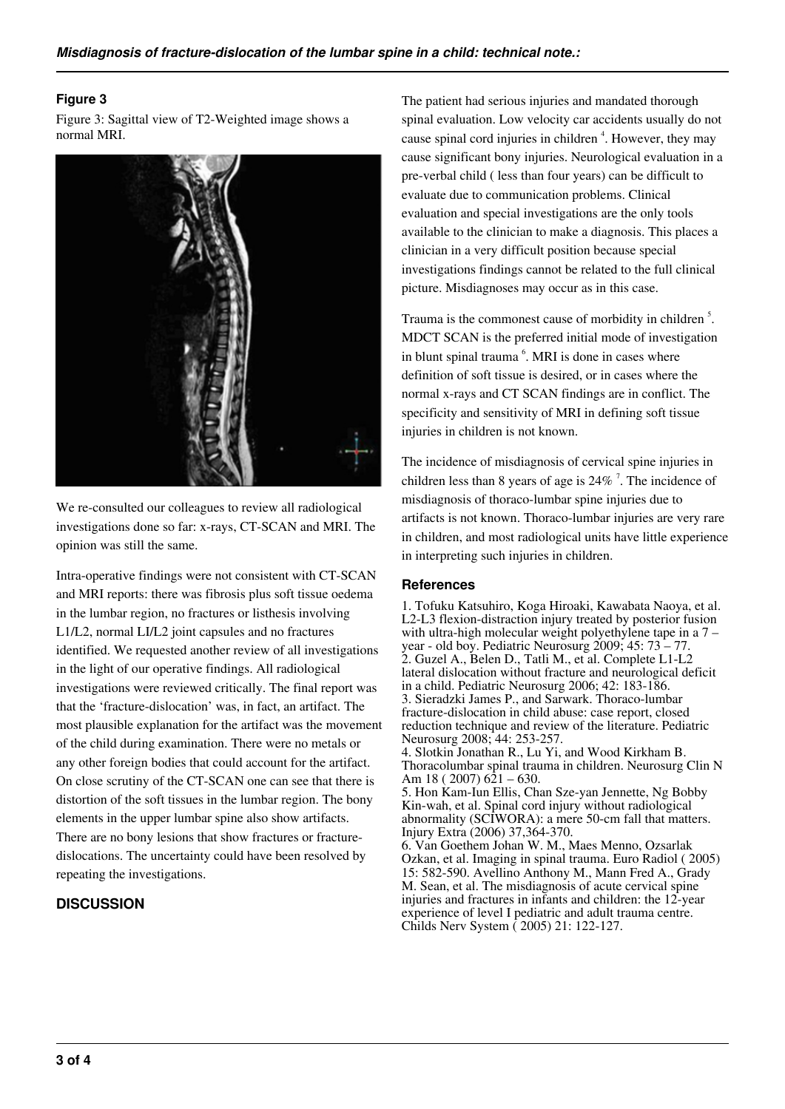## **Figure 3**

Figure 3: Sagittal view of T2-Weighted image shows a normal MRI.



We re-consulted our colleagues to review all radiological investigations done so far: x-rays, CT-SCAN and MRI. The opinion was still the same.

Intra-operative findings were not consistent with CT-SCAN and MRI reports: there was fibrosis plus soft tissue oedema in the lumbar region, no fractures or listhesis involving L1/L2, normal LI/L2 joint capsules and no fractures identified. We requested another review of all investigations in the light of our operative findings. All radiological investigations were reviewed critically. The final report was that the 'fracture-dislocation' was, in fact, an artifact. The most plausible explanation for the artifact was the movement of the child during examination. There were no metals or any other foreign bodies that could account for the artifact. On close scrutiny of the CT-SCAN one can see that there is distortion of the soft tissues in the lumbar region. The bony elements in the upper lumbar spine also show artifacts. There are no bony lesions that show fractures or fracturedislocations. The uncertainty could have been resolved by repeating the investigations.

## **DISCUSSION**

The patient had serious injuries and mandated thorough spinal evaluation. Low velocity car accidents usually do not cause spinal cord injuries in children<sup>4</sup>. However, they may cause significant bony injuries. Neurological evaluation in a pre-verbal child ( less than four years) can be difficult to evaluate due to communication problems. Clinical evaluation and special investigations are the only tools available to the clinician to make a diagnosis. This places a clinician in a very difficult position because special investigations findings cannot be related to the full clinical picture. Misdiagnoses may occur as in this case.

Trauma is the commonest cause of morbidity in children<sup>5</sup>. MDCT SCAN is the preferred initial mode of investigation in blunt spinal trauma <sup>6</sup>. MRI is done in cases where definition of soft tissue is desired, or in cases where the normal x-rays and CT SCAN findings are in conflict. The specificity and sensitivity of MRI in defining soft tissue injuries in children is not known.

The incidence of misdiagnosis of cervical spine injuries in children less than 8 years of age is  $24\%$ <sup>7</sup>. The incidence of misdiagnosis of thoraco-lumbar spine injuries due to artifacts is not known. Thoraco-lumbar injuries are very rare in children, and most radiological units have little experience in interpreting such injuries in children.

#### **References**

1. Tofuku Katsuhiro, Koga Hiroaki, Kawabata Naoya, et al. L2-L3 flexion-distraction injury treated by posterior fusion with ultra-high molecular weight polyethylene tape in a 7 – year - old boy. Pediatric Neurosurg 2009; 45: 73 – 77. 2. Guzel A., Belen D., Tatli M., et al. Complete L1-L2 lateral dislocation without fracture and neurological deficit in a child. Pediatric Neurosurg 2006; 42: 183-186. 3. Sieradzki James P., and Sarwark. Thoraco-lumbar fracture-dislocation in child abuse: case report, closed reduction technique and review of the literature. Pediatric Neurosurg 2008; 44: 253-257. 4. Slotkin Jonathan R., Lu Yi, and Wood Kirkham B. Thoracolumbar spinal trauma in children. Neurosurg Clin N Am  $18$  ( 2007)  $621 - 630$ . 5. Hon Kam-Iun Ellis, Chan Sze-yan Jennette, Ng Bobby Kin-wah, et al. Spinal cord injury without radiological abnormality (SCIWORA): a mere 50-cm fall that matters. Injury Extra (2006) 37,364-370. 6. Van Goethem Johan W. M., Maes Menno, Ozsarlak Ozkan, et al. Imaging in spinal trauma. Euro Radiol ( 2005) 15: 582-590. Avellino Anthony M., Mann Fred A., Grady M. Sean, et al. The misdiagnosis of acute cervical spine injuries and fractures in infants and children: the 12-year experience of level I pediatric and adult trauma centre. Childs Nerv System ( 2005) 21: 122-127.